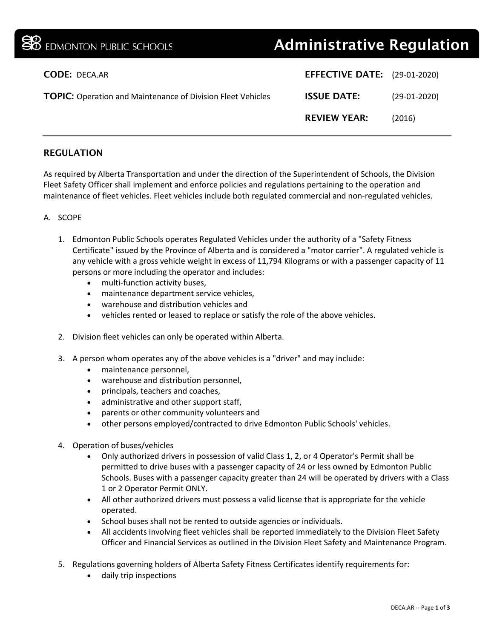| <b>BO</b> EDMONTON PUBLIC SCHOOLS                                  | <b>Administrative Regulation</b>    |                |
|--------------------------------------------------------------------|-------------------------------------|----------------|
| <b>CODE: DECA.AR</b>                                               | <b>EFFECTIVE DATE:</b> (29-01-2020) |                |
| <b>TOPIC:</b> Operation and Maintenance of Division Fleet Vehicles | <b>ISSUE DATE:</b>                  | $(29-01-2020)$ |
|                                                                    | <b>REVIEW YEAR:</b>                 | (2016)         |
|                                                                    |                                     |                |

# REGULATION

As required by Alberta Transportation and under the direction of the Superintendent of Schools, the Division Fleet Safety Officer shall implement and enforce policies and regulations pertaining to the operation and maintenance of fleet vehicles. Fleet vehicles include both regulated commercial and non-regulated vehicles.

## A. SCOPE

- 1. Edmonton Public Schools operates Regulated Vehicles under the authority of a "Safety Fitness Certificate" issued by the Province of Alberta and is considered a "motor carrier". A regulated vehicle is any vehicle with a gross vehicle weight in excess of 11,794 Kilograms or with a passenger capacity of 11 persons or more including the operator and includes:
	- multi-function activity buses,
	- maintenance department service vehicles,
	- warehouse and distribution vehicles and
	- vehicles rented or leased to replace or satisfy the role of the above vehicles.
- 2. Division fleet vehicles can only be operated within Alberta.
- 3. A person whom operates any of the above vehicles is a "driver" and may include:
	- maintenance personnel,
	- warehouse and distribution personnel,
	- principals, teachers and coaches,
	- administrative and other support staff,
	- parents or other community volunteers and
	- other persons employed/contracted to drive Edmonton Public Schools' vehicles.
- 4. Operation of buses/vehicles
	- Only authorized drivers in possession of valid Class 1, 2, or 4 Operator's Permit shall be permitted to drive buses with a passenger capacity of 24 or less owned by Edmonton Public Schools. Buses with a passenger capacity greater than 24 will be operated by drivers with a Class 1 or 2 Operator Permit ONLY.
	- All other authorized drivers must possess a valid license that is appropriate for the vehicle operated.
	- School buses shall not be rented to outside agencies or individuals.
	- All accidents involving fleet vehicles shall be reported immediately to the Division Fleet Safety Officer and Financial Services as outlined in the Division Fleet Safety and Maintenance Program.
- 5. Regulations governing holders of Alberta Safety Fitness Certificates identify requirements for:
	- daily trip inspections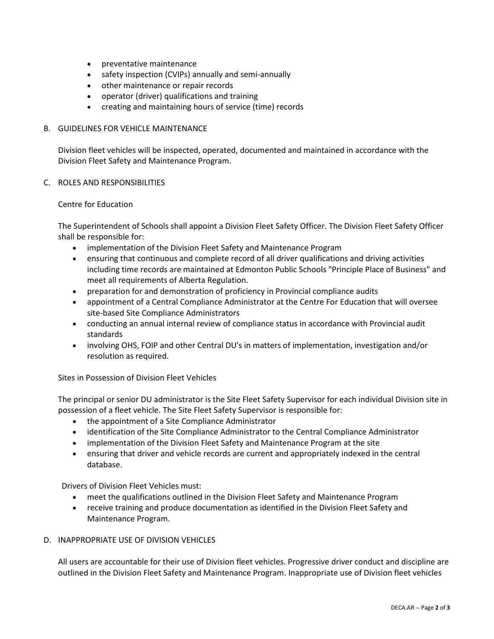- preventative maintenance
- safety inspection (CVIPs) annually and semi-annually
- other maintenance or repair records
- operator (driver) qualifications and training
- creating and maintaining hours of service (time) records

### B. GUIDELINES FOR VEHICLE MAINTENANCE

Division fleet vehicles will be inspected, operated, documented and maintained in accordance with the Division Fleet Safety and Maintenance Program.

#### C. ROLES AND RESPONSIBILITIES

#### Centre for Education

The Superintendent of Schools shall appoint a Division Fleet Safety Officer. The Division Fleet Safety Officer shall be responsible for:

- implementation of the Division Fleet Safety and Maintenance Program
- ensuring that continuous and complete record of all driver qualifications and driving activities including time records are maintained at Edmonton Public Schools "Principle Place of Business" and meet all requirements of Alberta Regulation.
- preparation for and demonstration of proficiency in Provincial compliance audits
- appointment of a Central Compliance Administrator at the Centre For Education that will oversee site-based Site Compliance Administrators
- conducting an annual internal review of compliance status in accordance with Provincial audit standards
- involving OHS, FOIP and other Central DU's in matters of implementation, investigation and/or resolution as required.

Sites in Possession of Division Fleet Vehicles

The principal or senior DU administrator is the Site Fleet Safety Supervisor for each individual Division site in possession of a fleet vehicle. The Site Fleet Safety Supervisor is responsible for:

- the appointment of a Site Compliance Administrator
- identification of the Site Compliance Administrator to the Central Compliance Administrator
- implementation of the Division Fleet Safety and Maintenance Program at the site
- ensuring that driver and vehicle records are current and appropriately indexed in the central database.

Drivers of Division Fleet Vehicles must:

- meet the qualifications outlined in the Division Fleet Safety and Maintenance Program
- receive training and produce documentation as identified in the Division Fleet Safety and Maintenance Program.

#### D. INAPPROPRIATE USE OF DIVISION VEHICLES

All users are accountable for their use of Division fleet vehicles. Progressive driver conduct and discipline are outlined in the Division Fleet Safety and Maintenance Program. Inappropriate use of Division fleet vehicles